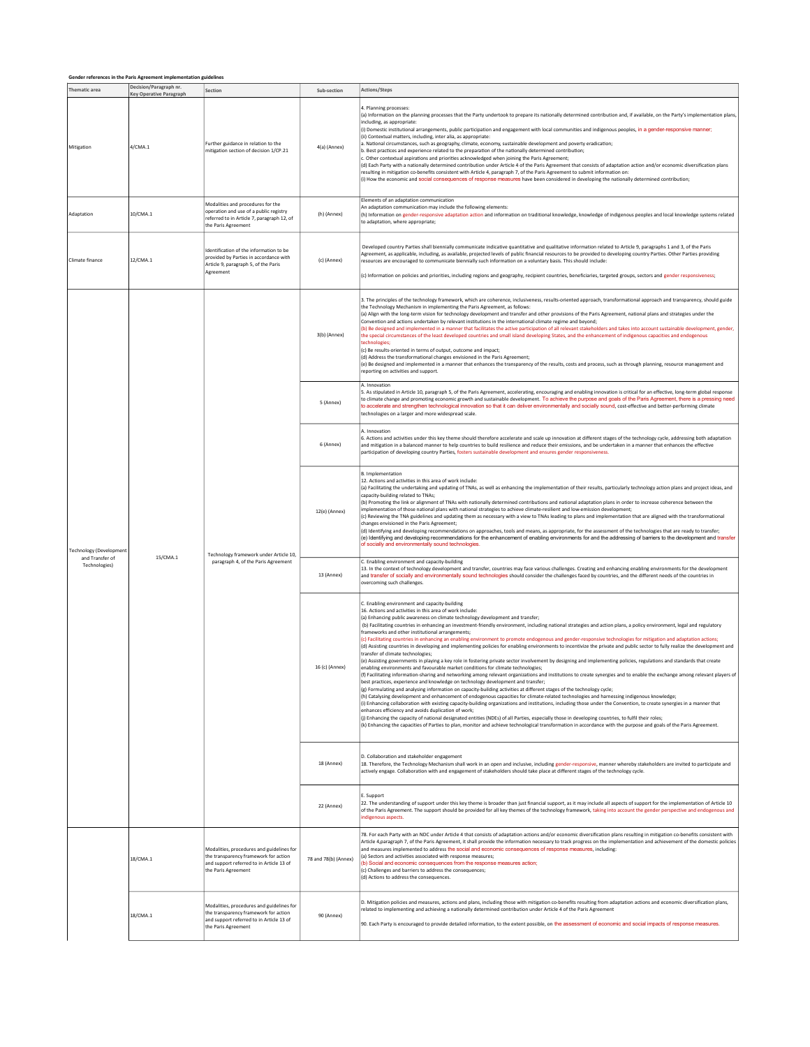| Gender references in the Paris Agreement implementation guidelines |                                                          |                                                                                                                                                       |                      |                                                                                                                                                                                                                                                                                                                                                                                                                                                                                                                                                                                                                                                                                                                                                                                                                                                                                                                                                                                                                                                                                                                                                                                                                                                                                                                                                                                                                                                                                                                                                                                                                                                                                                                                                                                                                                                                                                                                                                                                                                                                                                                                                                                     |  |  |  |  |
|--------------------------------------------------------------------|----------------------------------------------------------|-------------------------------------------------------------------------------------------------------------------------------------------------------|----------------------|-------------------------------------------------------------------------------------------------------------------------------------------------------------------------------------------------------------------------------------------------------------------------------------------------------------------------------------------------------------------------------------------------------------------------------------------------------------------------------------------------------------------------------------------------------------------------------------------------------------------------------------------------------------------------------------------------------------------------------------------------------------------------------------------------------------------------------------------------------------------------------------------------------------------------------------------------------------------------------------------------------------------------------------------------------------------------------------------------------------------------------------------------------------------------------------------------------------------------------------------------------------------------------------------------------------------------------------------------------------------------------------------------------------------------------------------------------------------------------------------------------------------------------------------------------------------------------------------------------------------------------------------------------------------------------------------------------------------------------------------------------------------------------------------------------------------------------------------------------------------------------------------------------------------------------------------------------------------------------------------------------------------------------------------------------------------------------------------------------------------------------------------------------------------------------------|--|--|--|--|
| Thematic area                                                      | Decision/Paragraph nr.<br><b>Key Operative Paragraph</b> | Section                                                                                                                                               | Sub-section          | Actions/Steps                                                                                                                                                                                                                                                                                                                                                                                                                                                                                                                                                                                                                                                                                                                                                                                                                                                                                                                                                                                                                                                                                                                                                                                                                                                                                                                                                                                                                                                                                                                                                                                                                                                                                                                                                                                                                                                                                                                                                                                                                                                                                                                                                                       |  |  |  |  |
| Mitigation                                                         | 4/CMA.1                                                  | Further guidance in relation to the<br>mitigation section of decision 1/CP.21                                                                         | 4(a) (Annex)         | 4. Planning processes:<br>(a) Information on the planning processes that the Party undertook to prepare its nationally determined contribution and, if available, on the Party's implementation plans,<br>including, as appropriate:<br>(i) Domestic institutional arrangements, public participation and engagement with local communities and indigenous peoples, in a gender-responsive manner;<br>(ii) Contextual matters, including, inter alia, as appropriate:<br>a. National circumstances, such as geography, climate, economy, sustainable development and poverty eradication;<br>b. Best practices and experience related to the preparation of the nationally determined contribution;<br>c. Other contextual aspirations and priorities acknowledged when ioining the Paris Agreement:<br>(d) Each Party with a nationally determined contribution under Article 4 of the Paris Agreement that consists of adaptation action and/or economic diversification plans<br>resulting in mitigation co-benefits consistent with Article 4, paragraph 7, of the Paris Agreement to submit information on:<br>(i) How the economic and social consequences of response measures have been considered in developing the nationally determined contribution;                                                                                                                                                                                                                                                                                                                                                                                                                                                                                                                                                                                                                                                                                                                                                                                                                                                                                                                    |  |  |  |  |
| Adaptation                                                         | 10/CMA.1                                                 | Modalities and procedures for the<br>operation and use of a public registry<br>referred to in Article 7, paragraph 12, of<br>the Paris Agreement      | (h) (Annex)          | Elements of an adaptation communication<br>An adaptation communication may include the following elements:<br>(h) Information on gender-responsive adaptation action and information on traditional knowledge, knowledge of indigenous peoples and local knowledge systems related<br>to adaptation, where appropriate;                                                                                                                                                                                                                                                                                                                                                                                                                                                                                                                                                                                                                                                                                                                                                                                                                                                                                                                                                                                                                                                                                                                                                                                                                                                                                                                                                                                                                                                                                                                                                                                                                                                                                                                                                                                                                                                             |  |  |  |  |
| Climate finance                                                    | 12/CMA.1                                                 | Identification of the information to be<br>provided by Parties in accordance with<br>Article 9, paragraph 5, of the Paris<br>Agreement                | (c) (Annex)          | Developed country Parties shall biennially communicate indicative quantitative and qualitative information related to Article 9, paragraphs 1 and 3, of the Paris<br>Agreement, as applicable, including, as available, projected levels of public financial resources to be provided to developing country Parties. Other Parties providing<br>resources are encouraged to communicate biennially such information on a voluntary basis. This should include:<br>(c) Information on policies and priorities, including regions and geography, recipient countries, beneficiaries, targeted groups, sectors and gender responsiveness;                                                                                                                                                                                                                                                                                                                                                                                                                                                                                                                                                                                                                                                                                                                                                                                                                                                                                                                                                                                                                                                                                                                                                                                                                                                                                                                                                                                                                                                                                                                                              |  |  |  |  |
| <b>Technology (Development</b><br>and Transfer of<br>Technologies) | 15/CMA.1                                                 | Technology framework under Article 10,<br>paragraph 4, of the Paris Agreement                                                                         | 3(b) (Annex)         | 3. The principles of the technology framework, which are coherence, inclusiveness, results-oriented approach, transformational approach and transparency, should guide<br>the Technology Mechanism in implementing the Paris Agreement, as follows:<br>(a) Align with the long-term vision for technology development and transfer and other provisions of the Paris Agreement, national plans and strategies under the<br>Convention and actions undertaken by relevant institutions in the international climate regime and beyond;<br>(b) Be designed and implemented in a manner that facilitates the active participation of all relevant stakeholders and takes into account sustainable development, gender,<br>the special circumstances of the least developed countries and small island developing States, and the enhancement of indigenous capacities and endogenous<br>technologies:<br>(c) Be results-oriented in terms of output, outcome and impact;<br>(d) Address the transformational changes envisioned in the Paris Agreement;<br>(e) Be designed and implemented in a manner that enhances the transparency of the results, costs and process, such as through planning, resource management and<br>reporting on activities and support.                                                                                                                                                                                                                                                                                                                                                                                                                                                                                                                                                                                                                                                                                                                                                                                                                                                                                                                     |  |  |  |  |
|                                                                    |                                                          |                                                                                                                                                       | 5 (Annex)            | A. Innovation<br>5. As stipulated in Article 10, paragraph 5, of the Paris Agreement, accelerating, encouraging and enabling innovation is critical for an effective, long-term global response<br>to climate change and promoting economic growth and sustainable development. To achieve the purpose and goals of the Paris Agreement, there is a pressing need<br>to accelerate and strengthen technological innovation so that it can deliver environmentally and socially sound, cost-effective and better-performing climate<br>technologies on a larger and more widespread scale.                                                                                                                                                                                                                                                                                                                                                                                                                                                                                                                                                                                                                                                                                                                                                                                                                                                                                                                                                                                                                                                                                                                                                                                                                                                                                                                                                                                                                                                                                                                                                                                           |  |  |  |  |
|                                                                    |                                                          |                                                                                                                                                       | 6 (Annex)            | A. Innovation<br>6. Actions and activities under this key theme should therefore accelerate and scale up innovation at different stages of the technology cycle, addressing both adaptation<br>and mitigation in a balanced manner to help countries to build resilience and reduce their emissions, and be undertaken in a manner that enhances the effective<br>participation of developing country Parties, fosters sustainable development and ensures gender responsiveness.                                                                                                                                                                                                                                                                                                                                                                                                                                                                                                                                                                                                                                                                                                                                                                                                                                                                                                                                                                                                                                                                                                                                                                                                                                                                                                                                                                                                                                                                                                                                                                                                                                                                                                   |  |  |  |  |
|                                                                    |                                                          |                                                                                                                                                       | 12(e) (Annex)        | <b>B.</b> Implementation<br>12. Actions and activities in this area of work include:<br>(a) Facilitating the undertaking and updating of TNAs, as well as enhancing the implementation of their results, particularly technology action plans and project ideas, and<br>capacity-building related to TNAs:<br>(b) Promoting the link or alignment of TNAs with nationally determined contributions and national adaptation plans in order to increase coherence between the<br>implementation of those national plans with national strategies to achieve climate-resilient and low-emission development;<br>(c) Reviewing the TNA guidelines and updating them as necessary with a view to TNAs leading to plans and implementation that are aligned with the transformational<br>changes envisioned in the Paris Agreement;<br>(d) Identifying and developing recommendations on approaches, tools and means, as appropriate, for the assessment of the technologies that are ready to transfer;<br>(e) Identifying and developing recommendations for the enhancement of enabling environments for and the addressing of barriers to the development and transfer<br>of socially and environmentally sound technologies.                                                                                                                                                                                                                                                                                                                                                                                                                                                                                                                                                                                                                                                                                                                                                                                                                                                                                                                                                         |  |  |  |  |
|                                                                    |                                                          |                                                                                                                                                       | 13 (Annex)           | C. Enabling environment and capacity-building<br>13. In the context of technology development and transfer, countries may face various challenges. Creating and enhancing enabling environments for the development<br>and transfer of socially and environmentally sound technologies should consider the challenges faced by countries, and the different needs of the countries in<br>overcoming such challenges.                                                                                                                                                                                                                                                                                                                                                                                                                                                                                                                                                                                                                                                                                                                                                                                                                                                                                                                                                                                                                                                                                                                                                                                                                                                                                                                                                                                                                                                                                                                                                                                                                                                                                                                                                                |  |  |  |  |
|                                                                    |                                                          |                                                                                                                                                       | 16 (c) (Annex)       | C. Enabling environment and capacity-building<br>16. Actions and activities in this area of work include:<br>(a) Enhancing public awareness on climate technology development and transfer;<br>(b) Facilitating countries in enhancing an investment-friendly environment, including national strategies and action plans, a policy environment, legal and regulatory<br>frameworks and other institutional arrangements:<br>(c) Facilitating countries in enhancing an enabling environment to promote endogenous and gender-responsive technologies for mitigation and adaptation actions;<br>(d) Assisting countries in developing and implementing policies for enabling environments to incentivize the private and public sector to fully realize the development and<br>transfer of climate technologies;<br>(e) Assisting governments in playing a key role in fostering private sector involvement by designing and implementing policies, regulations and standards that create<br>enabling environments and favourable market conditions for climate technologies;<br>(f) Facilitating information-sharing and networking among relevant organizations and institutions to create synergies and to enable the exchange among relevant players of<br>best practices, experience and knowledge on technology development and transfer;<br>(g) Formulating and analysing information on capacity-building activities at different stages of the technology cycle;<br>(h) Catalysing development and enhancement of endogenous capacities for climate-related technologies and harnessing indigenous knowledge;<br>(i) Enhancing collaboration with existing capacity-building organizations and institutions, including those under the Convention, to create synergies in a manner that<br>enhances efficiency and avoids duplication of work;<br>(j) Enhancing the capacity of national designated entities (NDEs) of all Parties, especially those in developing countries, to fulfil their roles;<br>(k) Enhancing the capacities of Parties to plan, monitor and achieve technological transformation in accordance with the purpose and goals of the Paris Agreement. |  |  |  |  |
|                                                                    |                                                          |                                                                                                                                                       | 18 (Annex)           | D. Collaboration and stakeholder engagement<br>18. Therefore, the Technology Mechanism shall work in an open and inclusive, including gender-responsive, manner whereby stakeholders are invited to participate and<br>actively engage. Collaboration with and engagement of stakeholders should take place at different stages of the technology cycle.                                                                                                                                                                                                                                                                                                                                                                                                                                                                                                                                                                                                                                                                                                                                                                                                                                                                                                                                                                                                                                                                                                                                                                                                                                                                                                                                                                                                                                                                                                                                                                                                                                                                                                                                                                                                                            |  |  |  |  |
|                                                                    |                                                          |                                                                                                                                                       | 22 (Annex)           | E. Support<br>22. The understanding of support under this key theme is broader than just financial support, as it may include all aspects of support for the implementation of Article 10<br>of the Paris Agreement. The support should be provided for all key themes of the technology framework, taking into account the gender perspective and endogenous and<br>indigenous aspects.                                                                                                                                                                                                                                                                                                                                                                                                                                                                                                                                                                                                                                                                                                                                                                                                                                                                                                                                                                                                                                                                                                                                                                                                                                                                                                                                                                                                                                                                                                                                                                                                                                                                                                                                                                                            |  |  |  |  |
|                                                                    | 18/CMA.1                                                 | Modalities, procedures and guidelines for<br>the transparency framework for action<br>and support referred to in Article 13 of<br>the Paris Agreement | 78 and 78(b) (Annex) | 78. For each Party with an NDC under Article 4 that consists of adaptation actions and/or economic diversification plans resulting in mitigation co-benefits consistent with<br>Article 4,paragraph 7, of the Paris Agreement, it shall provide the information necessary to track progress on the implementation and achievement of the domestic policies<br>and measures implemented to address the social and economic consequences of response measures, including:<br>(a) Sectors and activities associated with response measures:<br>(b) Social and economic consequences from the response measures action;<br>(c) Challenges and barriers to address the consequences;<br>(d) Actions to address the consequences.                                                                                                                                                                                                                                                                                                                                                                                                                                                                                                                                                                                                                                                                                                                                                                                                                                                                                                                                                                                                                                                                                                                                                                                                                                                                                                                                                                                                                                                         |  |  |  |  |
|                                                                    | 18/CMA.1                                                 | Modalities, procedures and guidelines for<br>the transparency framework for action<br>and support referred to in Article 13 of<br>the Paris Agreement | 90 (Annex)           | D. Mitigation policies and measures, actions and plans, including those with mitigation co-benefits resulting from adaptation actions and economic diversification plans,<br>related to implementing and achieving a nationally determined contribution under Article 4 of the Paris Agreement<br>90. Each Party is encouraged to provide detailed information, to the extent possible, on the assessment of economic and social impacts of response measures.                                                                                                                                                                                                                                                                                                                                                                                                                                                                                                                                                                                                                                                                                                                                                                                                                                                                                                                                                                                                                                                                                                                                                                                                                                                                                                                                                                                                                                                                                                                                                                                                                                                                                                                      |  |  |  |  |